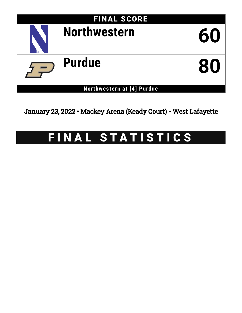

January 23, 2022 • Mackey Arena (Keady Court) - West Lafayette

# FINAL STATISTICS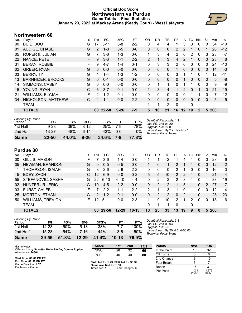### **Official Box Score Northwestern vs Purdue Game Totals -- Final Statistics January 23, 2022 at Mackey Arena (Keady Court) - West Lafayette**



## **Northwestern 60**

| No. | Player                   | S | Pts          | FG       | 3FG      | FT      | <b>OR</b> | <b>DR</b> | TR             | <b>PF</b> | A       | TO | <b>Blk</b>   | Stl | Min  | $+/-$ |
|-----|--------------------------|---|--------------|----------|----------|---------|-----------|-----------|----------------|-----------|---------|----|--------------|-----|------|-------|
| 00  | BUIE, BOO                | G | 17           | $5 - 11$ | $5-8$    | $2 - 2$ | 0         | 4         | 4              | 1         | 3       | 3  | 0            | 0   | 34   | $-10$ |
| 01  | AUDIGE, CHASE            | G | 2            | $1 - 8$  | $0 - 5$  | $0 - 0$ | $\Omega$  | $\Omega$  | 0              | 2         | 2       |    | $\Omega$     |     | 20   | $-12$ |
| 05  | <b>ROPER II, JULIAN</b>  | G |              | $3-6$    | 1-3      | $0 - 0$ | 1         | 3         | 4              | 2         | 0       | 2  | 0            | 3   | 28   | $-7$  |
| 22  | NANCE, PETE              | F | 9            | $3 - 3$  | $1 - 1$  | $2 - 2$ | 2         | 1         | 3              | 4         | 2       |    | $\mathbf{0}$ | 0   | 23   | 6     |
| 31  | <b>BERAN, ROBBIE</b>     | F | 9            | $4 - 7$  | $1 - 4$  | $0 - 1$ | 0         | 3         | 3              | 2         | 0       | 0  | 0            | 0   | 24   | $-10$ |
| 02  | <b>GREER, RYAN</b>       | G | $\mathbf{0}$ | $0 - 0$  | $0 - 0$  | $0 - 0$ | 0         | $\Omega$  | 0              |           | 0       | 0  | $\mathbf{0}$ | 0   | 14   | $-3$  |
| 03  | <b>BERRY, TY</b>         | G | 4            | $1 - 4$  | $1 - 3$  | $1 - 2$ | 0         | 0         | 0              | 3         | 1       |    | 0            | 1   | 12   | $-11$ |
| 13  | <b>BARNHIZER, BROOKS</b> | G | $\Omega$     | $0 - 1$  | $0 - 0$  | $0 - 0$ | 0         | $\Omega$  | 0              | 0         |         | 0  | $\mathbf{0}$ | 0   | 5    | -8    |
| 14  | SIMMONS, CASEY           | G | 0            | $0 - 0$  | $0 - 0$  | $0 - 0$ | 0         | 1         |                | 0         |         |    | 0            | 0   | 9    | -9    |
| 15  | YOUNG, RYAN              | С | 6            | $3 - 7$  | $0 - 1$  | $0 - 0$ |           | 3         | 4              |           | 2       | 0  |              | 0   | 21   | $-19$ |
| 21  | <b>WILLIAMS, ELYJAH</b>  | F | 2            | $1 - 2$  | $0 - 1$  | $0 - 0$ | 0         | 0         | 0              | 0         | 0       |    |              | 0   | 7    | $-12$ |
| 34  | NICHOLSON, MATTHEW       | С | 4            | $1 - 1$  | $0 - 0$  | $2 - 2$ | 0         | 0         | $\mathbf{0}$   | 0         | 0       | 0  | 0            | 0   | 5    | $-5$  |
|     | <b>TEAM</b>              |   |              |          |          |         | 1         | 1         | $\overline{2}$ | 0         |         | 0  |              |     |      |       |
|     | <b>TOTALS</b>            |   | 60           | 22-50    | $9 - 26$ | $7-9$   | 5         | 16        | 21             | 16        | $12 \,$ | 10 | $\mathbf{2}$ | 5   | -200 |       |

| <b>Shooting By Period</b><br>Period | FG        | FG%   | 3FG      | 3FG%  | FТ  | FT%   |
|-------------------------------------|-----------|-------|----------|-------|-----|-------|
| 1st Half                            | $9 - 23$  | 39%   | $3 - 12$ | 25%   | 7-9 | 78%   |
| 2nd Half                            | $13 - 27$ | 48%   | հ 14     | 43%   | 0-0 | 0%    |
| Game                                | $22 - 50$ | 44.0% | $9 - 26$ | 34.6% | 7-9 | 77.8% |

*Deadball Rebounds:* 1,1 *Last FG:* 2nd-01:20 *Biggest Run:* 10-0 *Largest lead:* By 2 at 1st-17:27 *Technical Fouls:* None.

# **Purdue 80**

|     | .                        |    |                 |          |           |           |                |               |          |          |    |     |            |          |            |                |
|-----|--------------------------|----|-----------------|----------|-----------|-----------|----------------|---------------|----------|----------|----|-----|------------|----------|------------|----------------|
| No. | Plaver                   | S  | Pts             | FG       | 3FG       | FT        | 0 <sub>R</sub> | DR            | TR       | PF       | A  | TO. | <b>BIK</b> | Stl      | Min        | $+/-$          |
| 00  | GILLIS, MASON            | F  |                 | 3-6      | $1 - 4$   | $0 - 0$   |                |               | 2        |          | 4  |     | 0          | 0        | 28         | 6              |
| 05  | NEWMAN, BRANDON          | G  | 0               | $0 - 5$  | $0 - 5$   | $0 - 0$   |                | 0             |          | 2        |    |     | 0          | 0        | 12         | $-2$           |
| 11  | THOMPSON, ISAIAH         | G  | 8               | $2-6$    | $2 - 6$   | $2 - 2$   | 0              | 0             | $\Omega$ | 2        |    | 0   | $\Omega$   | 0        | 16         | 3              |
| 15  | EDEY, ZACH               | C  | 12              | $6-9$    | $0 - 0$   | $0 - 2$   | 5              | 5             | 10       | 2        | 2  |     | $\Omega$   |          | 21         | $\overline{4}$ |
| 55  | STEFANOVIC, SASHA        | G  | 22              | $6 - 10$ | $6 - 10$  | $4 - 4$   | 0              | 2             | 2        | 2        | 3  |     | 0          |          | 38         | 19             |
| 02  | HUNTER JR., ERIC         | G  | 10              | $4-5$    | $2 - 2$   | $0 - 0$   | 0              | $\mathcal{P}$ | 2        |          | 5  |     | $\Omega$   | 2        | 27         | 17             |
| 03  | <b>FURST, CALEB</b>      | F  |                 | $2 - 2$  | $1 - 1$   | $2 - 2$   | 2              |               | 3        |          | 0  |     | 0          | $\Omega$ | 12         | 14             |
| 25  | <b>MORTON, ETHAN</b>     | G  | 2               | $1 - 2$  | $0 - 1$   | $0 - 0$   | 0              | 2             | 2        | $\Omega$ | 2  |     | $\Omega$   |          | 28         | 23             |
| 50  | <b>WILLIAMS, TREVION</b> | F. | 12 <sup>°</sup> | $5 - 11$ | $0 - 0$   | $2 - 3$   | 1              | 9             | 10       | 2        | 1  | 2   | $\Omega$   | 0        | 18         | 16             |
|     | <b>TEAM</b>              |    |                 |          |           |           | 0              |               |          | $\Omega$ |    | 0   |            |          |            |                |
|     | <b>TOTALS</b>            |    | 80.             | 29-56    | $12 - 29$ | $10 - 13$ | 10             | 23            | 33       | 13       | 19 | 9   | 0          | 5        | <b>200</b> |                |
|     |                          |    |                 |          |           |           |                |               |          |          |    |     |            |          |            |                |

| <b>Shooting By Period</b> |           |       |           |       |           |       |
|---------------------------|-----------|-------|-----------|-------|-----------|-------|
| Period                    | FG        | FG%   | 3FG       | 3FG%  | FТ        | FT%   |
| 1st Half                  | 14-28     | 50%   | $5 - 13$  | 38%   | 7-7       | 100%  |
| 2nd Half                  | $15 - 28$ | 54%   | 7-16      | 44%   | 3-6       | 50%   |
| Game                      | 29-56     | 51.8% | $12 - 29$ | 41.4% | $10 - 13$ | 76.9% |

*Deadball Rebounds:* 3,1 *Last FG:* 2nd-00:03 *Biggest Run:* 9-0 *Largest lead:* By 20 at 2nd-00:03 *Technical Fouls:* None.

| Game Notes:                                                                                 | <b>Score</b>                                                                            | 1st | 2nd             | тот |
|---------------------------------------------------------------------------------------------|-----------------------------------------------------------------------------------------|-----|-----------------|-----|
| Officials: Larry Scirotto, Kelly Pfeifer, Donnie Eppley<br>Attendance: 14804                | <b>NWU</b>                                                                              | 28  | 32              | 60  |
|                                                                                             | PUR                                                                                     | 40  | 40              | 80  |
| Start Time: 01:01 PM ET<br>End Time: 02:58 PM ET<br>Game Duration: 1:57<br>Conference Game; | NWU led for 1:23. PUR led for 36:39.<br>Game was tied for 1:56.<br>Times tied: <b>1</b> |     | Lead Changes: 3 |     |

**Times tied: 1** 1.00.<br>Lead Changes: 3

| <b>Points</b>     | <b>NWU</b>     | <b>PUR</b>     |
|-------------------|----------------|----------------|
| In the Paint      | 18             | 32             |
| Off Turns         | 6              | 6              |
| 2nd Chance        | 9              | 13             |
| <b>Fast Break</b> | 3              |                |
| Bench             | 16             | 31             |
| Per Poss          | 1.034<br>25/58 | 1.379<br>34/58 |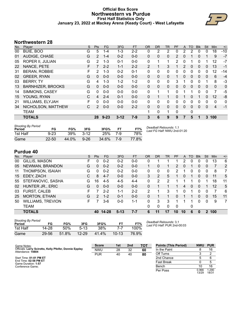#### **Official Box Score Northwestern vs Purdue First Half Statistics Only January 23, 2022 at Mackey Arena (Keady Court) - West Lafayette**



# **Northwestern 28**

| No. | Player                   | S | <b>Pts</b>     | FG.      | 3FG      | <b>FT</b> | <b>OR</b>      | <b>DR</b>    | TR.      | <b>PF</b> | A | TO       | <b>BIK</b> | <b>Stl</b> | Min      | $+/-$    |
|-----|--------------------------|---|----------------|----------|----------|-----------|----------------|--------------|----------|-----------|---|----------|------------|------------|----------|----------|
| 00  | BUIE, BOO                | G | 5              | $1 - 4$  | $1 - 3$  | $2 - 2$   | 0              | 2            | 2        | 0         | 2 | 2        | $\Omega$   | 0          | 18       | $-10$    |
| 01  | AUDIGE, CHASE            | G | $\overline{2}$ | $1 - 4$  | $0 - 2$  | $0 - 0$   | 0              | 0            | $\Omega$ | 2         | 0 |          | 0          | 1          | 9        | $-7$     |
| 05  | ROPER II, JULIAN         | G | $\overline{2}$ | $1 - 3$  | $0 - 1$  | $0 - 0$   | 0              | 1            | 1        | 2         | 0 |          | 0          | 1          | 12       | $-7$     |
| 22  | NANCE, PETE              | F |                | $2 - 2$  | $1 - 1$  | $2 - 2$   | $\overline{2}$ | 1            | 3        |           | 2 | 0        | 0          | 0          | 13       | $-1$     |
| 31  | <b>BERAN, ROBBIE</b>     | F | $\mathcal{P}$  | $1 - 3$  | $0 - 2$  | $0 - 1$   | 0              | 0            | 0        | 0         | 0 | 0        | 0          | 0          | 12       | -14      |
| 02  | <b>GREER, RYAN</b>       | G | $\Omega$       | $0 - 0$  | $0 - 0$  | $0 - 0$   | 0              | $\mathbf{0}$ | $\Omega$ |           | 0 | $\Omega$ | 0          | 0          | 6        | $-4$     |
| 03  | <b>BERRY, TY</b>         | G | 4              | $1 - 3$  | $1 - 2$  | $1 - 2$   | 0              | 0            | 0        | 3         |   | 0        | 0          | 1          | 8        | $-3$     |
| 13  | <b>BARNHIZER, BROOKS</b> | G | $\Omega$       | $0 - 0$  | $0 - 0$  | $0 - 0$   | 0              | $\mathbf{0}$ | $\Omega$ | $\Omega$  | 0 | $\Omega$ | $\Omega$   | 0          | $\Omega$ | 0        |
| 14  | SIMMONS, CASEY           | G | 0              | $0 - 0$  | $0 - 0$  | $0-0$     | 0              | 1            | 1        | 0         | 1 | 1        | 0          | $\Omega$   | 7        | $-5$     |
| 15  | YOUNG, RYAN              | С | 4              | $2 - 4$  | $0 - 1$  | $0 - 0$   | 0              | 1            | 1        | $\Omega$  |   | 0        |            | 0          | 12       | -8       |
| 21  | <b>WILLIAMS, ELYJAH</b>  | F | 0              | $0 - 0$  | $0 - 0$  | $0 - 0$   | 0              | $\Omega$     | $\Omega$ | $\Omega$  | 0 | 0        | $\Omega$   | $\Omega$   | 0        | $\Omega$ |
| 34  | NICHOLSON, MATTHEW       | С | 2              | $0 - 0$  | $0 - 0$  | $2 - 2$   | $\Omega$       | 0            | $\Omega$ | 0         | 0 | 0        | 0          | 0          | 4        | $-1$     |
|     | <b>TEAM</b>              |   |                |          |          |           | 1              | $\mathbf{0}$ | 1        | $\Omega$  |   | 0        |            |            |          |          |
|     | <b>TOTALS</b>            |   | 28             | $9 - 23$ | $3 - 12$ | $7 - 9$   | 3              | 6            | 9        | 9         |   | 5        |            | 3          | 100      |          |

| <b>Shooting By Period</b><br>Period | FG        | FG%   | 3FG      | 3FG%  | FТ  | FT%   |
|-------------------------------------|-----------|-------|----------|-------|-----|-------|
| 1st Half                            | $9 - 23$  | 39%   | $3-12$   | 25%   | 7-9 | 78%   |
| Game                                | $22 - 50$ | 44.0% | $9 - 26$ | 34.6% | 7-9 | 77.8% |

*Deadball Rebounds:* 1,1 *Last FG Half:* NWU 2nd-01:20

# **Purdue 40**

| No. | Plaver                   | S  | <b>Pts</b>    | FG        | 3FG      | <b>FT</b> | <b>OR</b> | <b>DR</b> | TR       | <b>PF</b>      | A        | TO | <b>B</b> lk  | Stl           | Min | $+/-$          |
|-----|--------------------------|----|---------------|-----------|----------|-----------|-----------|-----------|----------|----------------|----------|----|--------------|---------------|-----|----------------|
| 00  | GILLIS, MASON            | F  | 0             | $0 - 2$   | $0 - 2$  | $0-0$     | 0         |           |          |                | 2        | 0  | 0            | 0             | 13  | 6              |
| 05  | NEWMAN, BRANDON          | G  | 0             | $0 - 2$   | $0 - 2$  | $0 - 0$   |           | 0         |          | 2              | 0        |    | $\mathbf{0}$ | 0             | 7   | 2              |
| 11  | THOMPSON, ISAIAH         | G  | 0             | $0 - 2$   | $0 - 2$  | $0-0$     | 0         | 0         | 0        | $\overline{2}$ | 1        | 0  | 0            | 0             | 8   | 7              |
| 15  | EDEY, ZACH               | С  | 8             | $4 - 7$   | $0 - 0$  | $0 - 0$   | 3         | 2         | 5.       |                | $\Omega$ |    | $\mathbf{0}$ | 0             | 11  | 5              |
| 55  | STEFANOVIC, SASHA        | G  | 16            | $4 - 5$   | $4 - 5$  | $4 - 4$   | 0         | 2         | 2        |                |          |    | 0            |               | 18  | 11             |
| 02  | HUNTER JR., ERIC         | G  | $\mathbf{0}$  | $0 - 0$   | $0 - 0$  | $0 - 0$   | 0         |           |          |                | 4        | 0  | 0            |               | 12  | 5              |
| 03  | <b>FURST, CALEB</b>      | F. |               | $2 - 2$   | 1-1      | $2 - 2$   | 2         |           | 3        |                | 0        |    | 0            | 0             |     | 6              |
| 25  | <b>MORTON, ETHAN</b>     | G  | $\mathcal{P}$ | $1 - 2$   | $0 - 1$  | $0 - 0$   | 0         |           |          | 0              |          |    | $\Omega$     | 0             | 15  | 11             |
| 50  | <b>WILLIAMS, TREVION</b> | F. |               | $3-6$     | $0 - 0$  | $1 - 1$   | 0         | 3         | 3        |                |          |    | 0            | $\Omega$      | 9   | $\overline{7}$ |
|     | <b>TEAM</b>              |    |               |           |          |           | 0         | 0         | $\Omega$ | $\Omega$       |          | 0  |              |               |     |                |
|     | <b>TOTALS</b>            |    | 40            | $14 - 28$ | $5 - 13$ | $7 - 7$   | 6         | 11        | 17       | 10             | 10       | 6  | 0            | $\mathcal{P}$ | 100 |                |

| <b>Shooting By Period</b> |           |       |           |       |           |       |
|---------------------------|-----------|-------|-----------|-------|-----------|-------|
| Period                    | FG        | FG%   | 3FG       | 3FG%  | FT        | FT%   |
| 1st Half                  | 14-28     | 50%   | $5 - 13$  | 38%   | 7.7       | 100%  |
| Game                      | $29 - 56$ | 51.8% | $12 - 29$ | 41.4% | $10 - 13$ | 76.9% |

*Deadball Rebounds:* 3,1 *Last FG Half:* PUR 2nd-00:03

| Game Notes:                                                                  | <b>Score</b> | 1st | 2 <sub>nd</sub> | <b>TOT</b> | <b>Points (This Period)</b> | <b>NWU</b>     | <b>PUR</b>     |
|------------------------------------------------------------------------------|--------------|-----|-----------------|------------|-----------------------------|----------------|----------------|
| Officials: Larry Scirotto, Kelly Pfeifer, Donnie Eppley<br>Attendance: 14804 | <b>NWU</b>   | 28  | 32              | 60         | In the Paint                |                | 16             |
|                                                                              | <b>PUR</b>   | 40  | 40              | 80         | Off Turns                   |                |                |
| Start Time: 01:01 PM ET                                                      |              |     |                 |            | 2nd Chance                  |                |                |
| End Time: 02:58 PM ET<br>Game Duration: 1:57                                 |              |     |                 |            | <b>Fast Break</b>           |                |                |
| Conference Game;                                                             |              |     |                 |            | Bench                       |                | 16             |
|                                                                              |              |     |                 |            | Per Poss                    | 0.966<br>13/29 | 1.290<br>18/31 |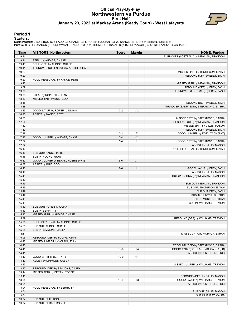#### **Official Play-By-Play Northwestern vs Purdue First Half January 23, 2022 at Mackey Arena (Keady Court) - West Lafayette**



#### **Period 1**

<mark>Starters:</mark><br>Northwestern: 0 BUIE,BOO (G); 1 AUDIGE,CHASE (G); 5 ROPER II,JULIAN (G); 22 NANCE,PETE (F); 31 BERAN,ROBBIE (F);<br>Purdue: 0 GILLIS,MASON (F); 5 NEWMAN,BRANDON (G); 11 THOMPSON,ISAIAH (G); 15 EDEY,ZACH (C); 55 ST

| Time           | <b>VISITORS: Northwestern</b>               | <b>Score</b> | <b>Margin</b>  | <b>HOME: Purdue</b>                     |
|----------------|---------------------------------------------|--------------|----------------|-----------------------------------------|
| 19:44          |                                             |              |                | TURNOVER (LOSTBALL) by NEWMAN, BRANDON  |
| 19:44          | STEAL by AUDIGE, CHASE                      |              |                |                                         |
| 19:41          | FOUL (OFF) by AUDIGE, CHASE                 |              |                |                                         |
| 19:41          | TURNOVER (OFFENSIVE) by AUDIGE, CHASE       |              |                |                                         |
| 19:23          |                                             |              |                | MISSED 3PTR by THOMPSON, ISAIAH         |
| 19:20          |                                             |              |                | REBOUND (OFF) by EDEY, ZACH             |
| 19:20          | FOUL (PERSONAL) by NANCE, PETE              |              |                |                                         |
| 19:15          |                                             |              |                | MISSED 3PTR by NEWMAN, BRANDON          |
| 19:09          |                                             |              |                | REBOUND (OFF) by EDEY, ZACH             |
| 19:08          |                                             |              |                | TURNOVER (LOSTBALL) by EDEY, ZACH       |
| 19:08          | STEAL by ROPER II, JULIAN                   |              |                |                                         |
| 18:53          | MISSED 3PTR by BUIE, BOO                    |              |                |                                         |
| 18:48          |                                             |              |                | REBOUND (DEF) by EDEY, ZACH             |
| 18:38          |                                             |              |                | TURNOVER (BADPASS) by STEFANOVIC, SASHA |
| 18:25          | GOOD! LAYUP by ROPER II, JULIAN             | $0 - 2$      | V <sub>2</sub> |                                         |
| 18:25          | ASSIST by NANCE, PETE                       |              |                |                                         |
| 18:00          |                                             |              |                | MISSED 3PTR by STEFANOVIC, SASHA        |
| 17:54          |                                             |              |                | REBOUND (OFF) by NEWMAN, BRANDON        |
| 17:52          |                                             |              |                | MISSED 3PTR by GILLIS, MASON            |
| 17:50          |                                             |              |                | REBOUND (OFF) by EDEY, ZACH             |
| 17:48          |                                             | $2 - 2$      | T              | GOOD! JUMPER by EDEY, ZACH [PNT]        |
| 17:27          | GOOD! JUMPER by AUDIGE, CHASE               | $2 - 4$      | V <sub>2</sub> |                                         |
| 17:02          |                                             | $5 - 4$      | H <sub>1</sub> | GOOD! 3PTR by STEFANOVIC, SASHA         |
| 17:02          |                                             |              |                | ASSIST by GILLIS, MASON                 |
| 16:46          |                                             |              |                | FOUL (PERSONAL) by THOMPSON, ISAIAH     |
| 16:46<br>16:46 | SUB OUT: NANCE, PETE<br>SUB IN: YOUNG, RYAN |              |                |                                         |
| 16:37          | GOOD! JUMPER by BERAN, ROBBIE [PNT]         | $5-6$        | V <sub>1</sub> |                                         |
| 16:37          | ASSIST by BUIE, BOO                         |              |                |                                         |
| 16:16          |                                             | $7-6$        | H <sub>1</sub> | GOOD! LAYUP by EDEY, ZACH               |
| 16:16          |                                             |              |                | ASSIST by GILLIS, MASON                 |
| 15:49          |                                             |              |                | FOUL (PERSONAL) by NEWMAN, BRANDON      |
| 15:49          |                                             |              |                |                                         |
| 15:49          |                                             |              |                | SUB OUT: NEWMAN, BRANDON                |
| 15:49          |                                             |              |                | SUB OUT: THOMPSON, ISAIAH               |
| 15:49          |                                             |              |                | SUB OUT: EDEY, ZACH                     |
| 15:49          |                                             |              |                | SUB IN: HUNTER JR., ERIC                |
| 15:49          |                                             |              |                | SUB IN: MORTON, ETHAN                   |
| 15:49          |                                             |              |                | SUB IN: WILLIAMS, TREVION               |
| 15:49          | SUB OUT: ROPER II, JULIAN                   |              |                |                                         |
| 15:49          | SUB IN: BERRY, TY                           |              |                |                                         |
| 15:42          | MISSED 3PTR by AUDIGE, CHASE                |              |                |                                         |
| 15:39          |                                             |              |                | REBOUND (DEF) by WILLIAMS, TREVION      |
| 15:25          | FOUL (PERSONAL) by AUDIGE, CHASE            |              |                |                                         |
| 15:25          | SUB OUT: AUDIGE, CHASE                      |              |                |                                         |
| 15:25          | SUB IN: SIMMONS, CASEY                      |              |                |                                         |
| 15:11          |                                             |              |                | MISSED 3PTR by MORTON, ETHAN            |
| 15:06          | REBOUND (DEF) by YOUNG, RYAN                |              |                |                                         |
| 14:48          | MISSED JUMPER by YOUNG, RYAN                |              |                |                                         |
| 14:45          |                                             |              |                | REBOUND (DEF) by STEFANOVIC, SASHA      |
| 14:41          |                                             | $10-6$       | H4             | GOOD! 3PTR by STEFANOVIC, SASHA [FB]    |
| 14:41          |                                             |              |                | ASSIST by HUNTER JR., ERIC              |
| 14:10          | GOOD! 3PTR by BERRY, TY                     | $10-9$       | H <sub>1</sub> |                                         |
| 14:10          | ASSIST by SIMMONS, CASEY                    |              |                |                                         |
| 13:43          |                                             |              |                | MISSED JUMPER by WILLIAMS, TREVION      |
| 13:40          | REBOUND (DEF) by SIMMONS, CASEY             |              |                |                                         |
| 13:14          | MISSED 3PTR by BERAN, ROBBIE                |              |                |                                         |
| 13:11          |                                             |              |                | REBOUND (DEF) by GILLIS, MASON          |
| 13:04          |                                             | $12-9$       | H <sub>3</sub> | GOOD! LAYUP by WILLIAMS, TREVION        |
| 13:04          |                                             |              |                | ASSIST by HUNTER JR., ERIC              |
| 13:04          | FOUL (PERSONAL) by BERRY, TY                |              |                |                                         |
| 13:04          |                                             |              |                | SUB OUT: GILLIS, MASON                  |
| 13:04          |                                             |              |                | SUB IN: FURST, CALEB                    |
| 13:04          | SUB OUT: BUIE, BOO                          |              |                |                                         |
| 13:04          | SUB OUT: BERAN, ROBBIE                      |              |                |                                         |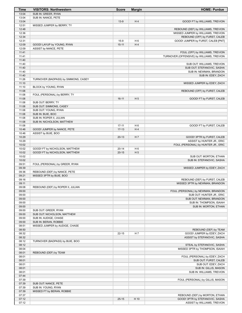| Time           | <b>VISITORS: Northwestern</b>        | <b>Score</b> | <b>Margin</b>  | <b>HOME: Purdue</b>                       |
|----------------|--------------------------------------|--------------|----------------|-------------------------------------------|
| 13:04          | SUB IN: GREER, RYAN                  |              |                |                                           |
| 13:04          | SUB IN: NANCE, PETE                  |              |                |                                           |
| 13:04          |                                      | $13-9$       | H4             | GOOD! FT by WILLIAMS, TREVION             |
| 12:51          | MISSED JUMPER by BERRY, TY           |              |                |                                           |
| 12:48          |                                      |              |                | REBOUND (DEF) by WILLIAMS, TREVION        |
| 12:36          |                                      |              |                | MISSED JUMPER by WILLIAMS, TREVION        |
| 12:34          |                                      |              |                | REBOUND (OFF) by FURST, CALEB             |
| 12:31          |                                      | $15-9$       | H <sub>6</sub> | GOOD! JUMPER by FURST, CALEB [PNT]        |
| 12:09          | GOOD! LAYUP by YOUNG, RYAN           | $15 - 11$    | H4             |                                           |
| 12:09          | ASSIST by NANCE, PETE                |              |                |                                           |
| 11:41          |                                      |              |                | FOUL (OFF) by WILLIAMS, TREVION           |
| 11:41          |                                      |              |                | TURNOVER (OFFENSIVE) by WILLIAMS, TREVION |
| 11:40          |                                      |              |                |                                           |
| 11:40          |                                      |              |                | SUB OUT: WILLIAMS, TREVION                |
| 11:40          |                                      |              |                | SUB OUT: STEFANOVIC, SASHA                |
| 11:40<br>11:40 |                                      |              |                | SUB IN: NEWMAN, BRANDON                   |
| 11:26          |                                      |              |                | SUB IN: EDEY, ZACH                        |
| 11:10          | TURNOVER (BADPASS) by SIMMONS, CASEY |              |                | MISSED JUMPER by EDEY, ZACH               |
| 11:10          | BLOCK by YOUNG, RYAN                 |              |                |                                           |
| 11:08          |                                      |              |                | REBOUND (OFF) by FURST, CALEB             |
| 11:08          | FOUL (PERSONAL) by BERRY, TY         |              |                |                                           |
| 11:08          |                                      | $16-11$      | H <sub>5</sub> | GOOD! FT by FURST, CALEB                  |
| 11:08          | SUB OUT: BERRY, TY                   |              |                |                                           |
| 11:08          | SUB OUT: SIMMONS, CASEY              |              |                |                                           |
| 11:08          | SUB OUT: YOUNG, RYAN                 |              |                |                                           |
| 11:08          | SUB IN: BUIE, BOO                    |              |                |                                           |
| 11:08          | SUB IN: ROPER II, JULIAN             |              |                |                                           |
| 11:08          | SUB IN: NICHOLSON, MATTHEW           |              |                |                                           |
| 11:08          |                                      | $17 - 11$    | H 6            | GOOD! FT by FURST, CALEB                  |
| 10:46          | GOOD! JUMPER by NANCE, PETE          | $17-13$      | H4             |                                           |
| 10:46          | ASSIST by BUIE, BOO                  |              |                |                                           |
| 10:29          |                                      | $20 - 13$    | H <sub>7</sub> | GOOD! 3PTR by FURST, CALEB                |
| 10:29          |                                      |              |                | ASSIST by HUNTER JR., ERIC                |
| 10:02          |                                      |              |                | FOUL (PERSONAL) by HUNTER JR., ERIC       |
| 10:02          | GOOD! FT by NICHOLSON, MATTHEW       | $20 - 14$    | H 6            |                                           |
| 10:02          | GOOD! FT by NICHOLSON, MATTHEW       | $20 - 15$    | H <sub>5</sub> |                                           |
| 10:02          |                                      |              |                | SUB OUT: MORTON, ETHAN                    |
| 10:02          |                                      |              |                | SUB IN: STEFANOVIC, SASHA                 |
| 09:51          | FOUL (PERSONAL) by GREER, RYAN       |              |                |                                           |
| 09:39          |                                      |              |                | MISSED JUMPER by EDEY, ZACH               |
| 09:36          | REBOUND (DEF) by NANCE, PETE         |              |                |                                           |
| 09:21          | MISSED 3PTR by BUIE, BOO             |              |                |                                           |
| 09:16          |                                      |              |                | REBOUND (DEF) by FURST, CALEB             |
| 09:11          |                                      |              |                | MISSED 3PTR by NEWMAN, BRANDON            |
| 09:08          | REBOUND (DEF) by ROPER II, JULIAN    |              |                |                                           |
| 09:00          |                                      |              |                | FOUL (PERSONAL) by NEWMAN, BRANDON        |
| 09:00          |                                      |              |                | SUB OUT: HUNTER JR., ERIC                 |
| 09:00          |                                      |              |                | SUB OUT: NEWMAN, BRANDON                  |
| 09:00<br>09:00 |                                      |              |                | SUB IN: THOMPSON, ISAIAH                  |
| 09:00          | SUB OUT: GREER, RYAN                 |              |                | SUB IN: MORTON, ETHAN                     |
| 09:00          | SUB OUT: NICHOLSON, MATTHEW          |              |                |                                           |
| 09:00          | SUB IN: AUDIGE, CHASE                |              |                |                                           |
| 09:00          | SUB IN: BERAN, ROBBIE                |              |                |                                           |
| 08:51          | MISSED JUMPER by AUDIGE, CHASE       |              |                |                                           |
| 08:50          |                                      |              |                | REBOUND (DEF) by TEAM                     |
| 08:32          |                                      | $22 - 15$    | H <sub>7</sub> | GOOD! JUMPER by EDEY, ZACH                |
| 08:32          |                                      |              |                | ASSIST by STEFANOVIC, SASHA               |
| 08:12          | TURNOVER (BADPASS) by BUIE, BOO      |              |                |                                           |
| 08:12          |                                      |              |                | STEAL by STEFANOVIC, SASHA                |
| 08:04          |                                      |              |                | MISSED 3PTR by THOMPSON, ISAIAH           |
| 08:01          | REBOUND (DEF) by TEAM                |              |                |                                           |
| 08:01          |                                      |              |                | FOUL (PERSONAL) by EDEY, ZACH             |
| 08:01          |                                      |              |                | SUB OUT: FURST, CALEB                     |
| 08:01          |                                      |              |                | SUB OUT: EDEY, ZACH                       |
| 08:01          |                                      |              |                | SUB IN: GILLIS, MASON                     |
| 08:01          |                                      |              |                | SUB IN: WILLIAMS, TREVION                 |
| 07:44          |                                      |              |                |                                           |
| 07:39          |                                      |              |                | FOUL (PERSONAL) by GILLIS, MASON          |
| 07:39          | SUB OUT: NANCE, PETE                 |              |                |                                           |
| 07:39          | SUB IN: YOUNG, RYAN                  |              |                |                                           |
| 07:39          | MISSED FT by BERAN, ROBBIE           |              |                |                                           |
| 07:37          |                                      |              |                | REBOUND (DEF) by MORTON, ETHAN            |
| 07:12          |                                      | $25 - 15$    | H 10           | GOOD! 3PTR by STEFANOVIC, SASHA           |
| 07:12          |                                      |              |                | ASSIST by WILLIAMS, TREVION               |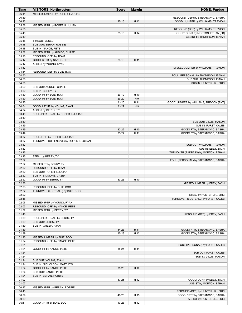| Time           | <b>VISITORS: Northwestern</b>                              | <b>Score</b> | <b>Margin</b> | <b>HOME: Purdue</b>                                           |
|----------------|------------------------------------------------------------|--------------|---------------|---------------------------------------------------------------|
| 06:44          | MISSED JUMPER by ROPER II, JULIAN                          |              |               |                                                               |
| 06:39          |                                                            |              |               | REBOUND (DEF) by STEFANOVIC, SASHA                            |
| 06:23          |                                                            | $27-15$      | H 12          | GOOD! JUMPER by WILLIAMS, TREVION                             |
| 05:58<br>05:55 | MISSED 3PTR by ROPER II, JULIAN                            |              |               | REBOUND (DEF) by WILLIAMS, TREVION                            |
| 05:49          |                                                            | 29-15        | H 14          | <b>GOOD! DUNK by MORTON, ETHAN [FB]</b>                       |
| 05:49          |                                                            |              |               | ASSIST by THOMPSON, ISAIAH                                    |
| 05:48          | TIMEOUT 30SEC                                              |              |               |                                                               |
| 05:48          | SUB OUT: BERAN, ROBBIE                                     |              |               |                                                               |
| 05:48          | SUB IN: NANCE, PETE                                        |              |               |                                                               |
| 05:32          | MISSED 3PTR by AUDIGE, CHASE                               |              |               |                                                               |
| 05:28          | REBOUND (OFF) by TEAM                                      |              |               |                                                               |
| 05:17          | GOOD! 3PTR by NANCE, PETE                                  | $29-18$      | H 11          |                                                               |
| 05:17          | ASSIST by YOUNG, RYAN                                      |              |               |                                                               |
| 04:57<br>04:54 |                                                            |              |               | MISSED JUMPER by WILLIAMS, TREVION                            |
| 04:50          | REBOUND (DEF) by BUIE, BOO                                 |              |               | FOUL (PERSONAL) by THOMPSON, ISAIAH                           |
| 04:50          |                                                            |              |               | SUB OUT: THOMPSON, ISAIAH                                     |
| 04:50          |                                                            |              |               | SUB IN: HUNTER JR., ERIC                                      |
| 04:50          | SUB OUT: AUDIGE, CHASE                                     |              |               |                                                               |
| 04:50          | SUB IN: BERRY, TY                                          |              |               |                                                               |
| 04:50          | GOOD! FT by BUIE, BOO                                      | 29-19        | H 10          |                                                               |
| 04:50          | GOOD! FT by BUIE, BOO                                      | 29-20        | H9            |                                                               |
| 04:25          |                                                            | $31 - 20$    | H 11          | GOOD! JUMPER by WILLIAMS, TREVION [PNT]                       |
| 04:04          | GOOD! LAYUP by YOUNG, RYAN                                 | $31 - 22$    | H9            |                                                               |
| 04:04          | ASSIST by BERRY, TY                                        |              |               |                                                               |
| 03:49          | FOUL (PERSONAL) by ROPER II, JULIAN                        |              |               |                                                               |
| 03:49<br>03:49 |                                                            |              |               | SUB OUT: GILLIS, MASON                                        |
| 03:49          |                                                            |              |               | SUB IN: FURST, CALEB                                          |
| 03:49          |                                                            | 32-22        | H 10          | GOOD! FT by STEFANOVIC, SASHA                                 |
| 03:49          |                                                            | 33-22        | H 11          | GOOD! FT by STEFANOVIC, SASHA                                 |
| 03:37          | FOUL (OFF) by ROPER II, JULIAN                             |              |               |                                                               |
| 03:37          | TURNOVER (OFFENSIVE) by ROPER II, JULIAN                   |              |               |                                                               |
| 03:37          |                                                            |              |               | SUB OUT: WILLIAMS, TREVION                                    |
| 03:37          |                                                            |              |               | SUB IN: EDEY, ZACH                                            |
| 03:15          |                                                            |              |               | TURNOVER (BADPASS) by MORTON, ETHAN                           |
| 03:15          | STEAL by BERRY, TY                                         |              |               |                                                               |
| 02:52<br>02:52 | MISSED FT by BERRY, TY                                     |              |               | FOUL (PERSONAL) by STEFANOVIC, SASHA                          |
| 02:52          | REBOUND (OFF) by TEAM                                      |              |               |                                                               |
| 02:52          | SUB OUT: ROPER II, JULIAN                                  |              |               |                                                               |
| 02:52          | SUB IN: SIMMONS, CASEY                                     |              |               |                                                               |
| 02:52          | GOOD! FT by BERRY, TY                                      | 33-23        | H 10          |                                                               |
| 02:36          |                                                            |              |               | MISSED JUMPER by EDEY, ZACH                                   |
| 02:33          | REBOUND (DEF) by BUIE, BOO                                 |              |               |                                                               |
| 02:22          | TURNOVER (LOSTBALL) by BUIE, BOO                           |              |               |                                                               |
| 02:22          |                                                            |              |               | STEAL by HUNTER JR., ERIC                                     |
| 02:18          |                                                            |              |               | TURNOVER (LOSTBALL) by FURST, CALEB                           |
| 02:06<br>02:03 | MISSED 3PTR by YOUNG, RYAN<br>REBOUND (OFF) by NANCE, PETE |              |               |                                                               |
| 01:52          | MISSED 3PTR by BERRY, TY                                   |              |               |                                                               |
| 01:48          |                                                            |              |               | REBOUND (DEF) by EDEY, ZACH                                   |
| 01:39          | FOUL (PERSONAL) by BERRY, TY                               |              |               |                                                               |
| 01:39          | SUB OUT: BERRY, TY                                         |              |               |                                                               |
| 01:39          | SUB IN: GREER, RYAN                                        |              |               |                                                               |
| 01:39          |                                                            |              |               |                                                               |
| 01:39          |                                                            | $34 - 23$    | H 11          | GOOD! FT by STEFANOVIC, SASHA                                 |
|                |                                                            | 35-23        | H 12          | GOOD! FT by STEFANOVIC, SASHA                                 |
| 01:25          | MISSED JUMPER by BUIE, BOO                                 |              |               |                                                               |
| 01:24          | REBOUND (OFF) by NANCE, PETE                               |              |               |                                                               |
| 01:24          |                                                            |              |               | FOUL (PERSONAL) by FURST, CALEB                               |
| 01:24          | GOOD! FT by NANCE, PETE                                    | 35-24        | H 11          |                                                               |
| 01:24          |                                                            |              |               | SUB OUT: FURST, CALEB                                         |
| 01:24<br>01:24 | SUB OUT: YOUNG, RYAN                                       |              |               | SUB IN: GILLIS, MASON                                         |
| 01:24          | SUB IN: NICHOLSON, MATTHEW                                 |              |               |                                                               |
| 01:24          | GOOD! FT by NANCE, PETE                                    | $35 - 25$    | H 10          |                                                               |
| 01:24          | SUB OUT: NANCE, PETE                                       |              |               |                                                               |
| 01:24          | SUB IN: BERAN, ROBBIE                                      |              |               |                                                               |
| 01:07          |                                                            | 37-25        | H 12          | GOOD! DUNK by EDEY, ZACH                                      |
| 01:07          |                                                            |              |               | ASSIST by MORTON, ETHAN                                       |
| 00:47          | MISSED 3PTR by BERAN, ROBBIE                               |              |               |                                                               |
| 00:43          |                                                            |              |               | REBOUND (DEF) by HUNTER JR., ERIC                             |
| 00:39<br>00:39 |                                                            | 40-25        | H 15          | GOOD! 3PTR by STEFANOVIC, SASHA<br>ASSIST by HUNTER JR., ERIC |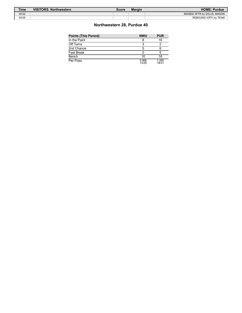| <b>Time</b> | <b>VISITORS: Northwestern</b> | Score | <b>Margin</b> | <b>HOME: Purdue</b>          |
|-------------|-------------------------------|-------|---------------|------------------------------|
| 00:02       |                               |       |               | MISSED 3PTR by GILLIS, MASON |
| 00:00       |                               |       |               | REBOUND (OFF) by TEAM        |

# **Northwestern 28, Purdue 40**

| <b>NWU</b>     | <b>PUR</b>     |
|----------------|----------------|
|                | 16             |
|                |                |
| 5              |                |
|                |                |
| 10             | 16             |
| 0.966<br>13/29 | 1.290<br>18/31 |
|                |                |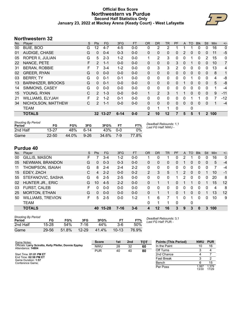## **Official Box Score Northwestern vs Purdue Second Half Statistics Only January 23, 2022 at Mackey Arena (Keady Court) - West Lafayette**



# **Northwestern 32**

| No. | Plaver                   | S  | <b>Pts</b>    | <b>FG</b> | 3FG      | <b>FT</b> | <b>OR</b>    | <b>DR</b>    | TR           | PF       | A            | <b>TO</b>   | <b>Blk</b> | Stl            | <b>Min</b> | $+/-$          |
|-----|--------------------------|----|---------------|-----------|----------|-----------|--------------|--------------|--------------|----------|--------------|-------------|------------|----------------|------------|----------------|
| 00  | BUIE, BOO                | G  | 12            | $4 - 7$   | $4 - 5$  | $0 - 0$   | 0            | 2            | 2            |          |              |             | 0          | 0              | 16         | 0              |
| 01  | AUDIGE, CHASE            | G  | $\Omega$      | $0 - 4$   | $0 - 3$  | $0-0$     | 0            | $\mathbf{0}$ | 0            | 0        | 2            | 0           | $\Omega$   | 0              | 11         | $-5$           |
| 05  | ROPER II, JULIAN         | G  | 5             | $2 - 3$   | $1 - 2$  | $0-0$     | 1            | 2            | 3            | $\Omega$ | 0            | 1           | $\Omega$   | $\overline{2}$ | 15         | 0              |
| 22  | NANCE, PETE              | F. | 2             | $1 - 1$   | $0 - 0$  | $0 - 0$   | 0            | $\Omega$     | $\mathbf{0}$ | 3        | 0            |             | 0          | 0              | 10         | $\overline{7}$ |
| 31  | <b>BERAN, ROBBIE</b>     | F  | 7             | $3 - 4$   | $1 - 2$  | $0 - 0$   | 0            | 3            | 3            | 2        | 0            | 0           | $\Omega$   | 0              | 13         | 4              |
| 02  | <b>GREER, RYAN</b>       | G  | $\Omega$      | $0 - 0$   | $0 - 0$  | $0 - 0$   | 0            | $\Omega$     | $\mathbf{0}$ | 0        | 0            | $\Omega$    | $\Omega$   | 0              | 8          | 1              |
| 03  | <b>BERRY, TY</b>         | G  | $\Omega$      | $0 - 1$   | $0 - 1$  | $0-0$     | 0            | $\mathbf{0}$ | $\mathbf{0}$ | $\Omega$ | 0            | 1           | 0          | $\mathbf{0}$   | 4          | -8             |
| 13  | <b>BARNHIZER, BROOKS</b> | G  | $\Omega$      | $0 - 1$   | $0 - 0$  | $0-0$     | 0            | $\Omega$     | 0            | 0        |              | 0           | $\Omega$   | 0              | 5          | -8             |
| 14  | SIMMONS, CASEY           | G  | $\Omega$      | $0 - 0$   | $0 - 0$  | $0 - 0$   | 0            | $\mathbf{0}$ | $\Omega$     | $\Omega$ | 0            | $\Omega$    | $\Omega$   | $\Omega$       | 1          | $-4$           |
| 15  | YOUNG, RYAN              | С  | $\mathcal{P}$ | $1 - 3$   | $0 - 0$  | $0 - 0$   | 1            | 2            | 3            |          |              | $\Omega$    | $\Omega$   | $\Omega$       | 9          | $-11$          |
| 21  | <b>WILLIAMS, ELYJAH</b>  | F. | $\mathcal{P}$ | $1 - 2$   | $0 - 1$  | $0 - 0$   | 0            | $\mathbf{0}$ | $\Omega$     | $\Omega$ | 0            |             |            | 0              | 7          | $-12$          |
| 34  | NICHOLSON, MATTHEW       | C  | 2             | $1 - 1$   | $0 - 0$  | $0 - 0$   | 0            | $\Omega$     | 0            | 0        | $\mathbf{0}$ | 0           | $\Omega$   | 0              | 1          | $-4$           |
|     | <b>TEAM</b>              |    |               |           |          |           | 0            | 1            | 1            | $\Omega$ |              | $\mathbf 0$ |            |                |            |                |
|     | <b>TOTALS</b>            |    |               | 32 13-27  | $6 - 14$ | $0 - 0$   | $\mathbf{2}$ | 10           | 12           |          | 5            | 5           |            | $\mathbf{2}$   | 100        |                |

| <b>Shooting By Period</b><br>Period | FG        | FG%   | 3FG      | 3FG%  | FТ         | FT%   | Deadball Rebounds: 1,1<br>Last FG Half: NWU - |
|-------------------------------------|-----------|-------|----------|-------|------------|-------|-----------------------------------------------|
| 2nd Half                            | $13 - 27$ | 48%   | հ-14     | 43%   | <u>ດ-ດ</u> | 0%    |                                               |
| Game                                | $22 - 50$ | 44.0% | $9 - 26$ | 34.6% | 7-9        | 77.8% |                                               |

# **Purdue 40**

| No. | Plaver                   | S | <b>Pts</b> | <b>FG</b> | 3FG      | <b>FT</b> | <b>OR</b>      | <b>DR</b> | <b>TR</b>    | PF       | A        | <b>TO</b>    | <b>Blk</b> | Stl | Min | $+/-$ |
|-----|--------------------------|---|------------|-----------|----------|-----------|----------------|-----------|--------------|----------|----------|--------------|------------|-----|-----|-------|
| 00  | GILLIS, MASON            | F |            | $3 - 4$   | $1 - 2$  | $0 - 0$   |                | 0         |              | 0        | 2        |              | 0          | 0   | 16  | 0     |
| 05  | NEWMAN, BRANDON          | G | $\Omega$   | $0 - 3$   | $0 - 3$  | $0 - 0$   | 0              | 0         | 0            | 0        |          | 0            | 0          | 0   | 5   | $-4$  |
| 11  | THOMPSON, ISAIAH         | G | 8          | $2 - 4$   | $2 - 4$  | $2 - 2$   | 0              | 0         | 0            | 0        | 0        | 0            | 0          | 0   | 7   | $-4$  |
| 15  | EDEY, ZACH               | С | 4          | $2 - 2$   | $0 - 0$  | $0 - 2$   | $\overline{2}$ | 3         | 5            | 1        | 2        | $\mathbf{0}$ | $\Omega$   |     | 10  | -1    |
| 55  | STEFANOVIC, SASHA        | G | 6          | $2 - 5$   | $2 - 5$  | $0 - 0$   | 0              | 0         | $\mathbf{0}$ | 1.       | 2        | 0            | 0          | 0   | 20  | 8     |
| 02  | HUNTER JR., ERIC         | G | 10         | $4 - 5$   | $2 - 2$  | $0 - 0$   | 0              | 1         |              | 0        |          |              | $\Omega$   | 1   | 15  | 12    |
| 03  | <b>FURST, CALEB</b>      | F | 0          | $0 - 0$   | $0 - 0$  | $0 - 0$   | 0              | 0         | 0            | 0        | 0        | 0            | 0          | 0   | 4   | 8     |
| 25  | <b>MORTON, ETHAN</b>     | G | 0          | $0 - 0$   | $0 - 0$  | $0 - 0$   | 0              | 1         | 1.           | 0        | 1        | 0            | $\Omega$   | 1   | 13  | 12    |
| 50  | <b>WILLIAMS, TREVION</b> | F | 5          | $2 - 5$   | $0-0$    | $1 - 2$   |                | 6         |              | 1        | $\Omega$ |              | 0          | 0   | 10  | 9     |
|     | <b>TEAM</b>              |   |            |           |          |           | 0              | 1         |              | $\Omega$ |          | 0            |            |     |     |       |
|     | <b>TOTALS</b>            |   | 40         | $15 - 28$ | $7 - 16$ | $3 - 6$   | 4              | 12        | 16           | 3        | 9        | 3            | 0          | 3   | 100 |       |
|     |                          |   |            |           |          |           |                |           |              |          |          |              |            |     |     |       |

| <b>Shooting By Period</b><br>Period | FG        | FG%   | 3FG       | 3FG%  |           | FT%   |
|-------------------------------------|-----------|-------|-----------|-------|-----------|-------|
| 2nd Half                            | 15-28     | 54%   | 7-16      | 44%   | $3-6$     | 50%   |
| Game                                | $29 - 56$ | 51.8% | $12 - 29$ | 41.4% | $10 - 13$ | 76.9% |

*Deadball Rebounds:* 3,1 *Last FG Half:* PUR -

| Game Notes:                                                                  | <b>Score</b> | 1st            | 2 <sub>nd</sub> | тот | <b>Points (This Period)</b> | <b>NWU</b>     | <b>PUR</b>     |
|------------------------------------------------------------------------------|--------------|----------------|-----------------|-----|-----------------------------|----------------|----------------|
| Officials: Larry Scirotto, Kelly Pfeifer, Donnie Eppley<br>Attendance: 14804 | <b>NWU</b>   | 32<br>28<br>60 |                 |     | In the Paint                |                | 16             |
|                                                                              | <b>PUR</b>   | 40             | 40              | 80  | Off Turns                   |                |                |
| Start Time: 01:01 PM ET                                                      |              |                |                 |     | 2nd Chance                  |                |                |
| End Time: 02:58 PM ET<br>Game Duration: 1:57                                 |              |                |                 |     | Fast Break                  |                |                |
| Conference Game;                                                             |              |                |                 |     | Bench                       |                | 15             |
|                                                                              |              |                |                 |     | Per Poss                    | 1.067<br>13/30 | 1.379<br>17/29 |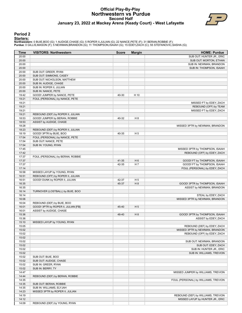#### **Official Play-By-Play Northwestern vs Purdue Second Half January 23, 2022 at Mackey Arena (Keady Court) - West Lafayette**



#### **Period 2**

#### **Starters:**

**Northwestern**: 0 BUIE,BOO (G); 1 AUDIGE,CHASE (G); 5 ROPER II,JULIAN (G); 22 NANCE,PETE (F); 31 BERAN,ROBBIE (F);<br>**Purdue**: 0 GILLIS,MASON (F); 5 NEWMAN,BRANDON (G); 11 THOMPSON,ISAIAH (G); 15 EDEY,ZACH (C); 55 STEFANOVIC

| Time           | <b>VISITORS: Northwestern</b>       | <b>Score</b> | <b>Margin</b>  | <b>HOME: Purdue</b>                             |
|----------------|-------------------------------------|--------------|----------------|-------------------------------------------------|
| 20:00          |                                     |              |                | SUB OUT: HUNTER JR., ERIC                       |
| 20:00          |                                     |              |                | SUB OUT: MORTON, ETHAN                          |
| 20:00          |                                     |              |                | SUB IN: NEWMAN, BRANDON                         |
| 20:00          |                                     |              |                | SUB IN: THOMPSON, ISAIAH                        |
| 20:00          | SUB OUT: GREER, RYAN                |              |                |                                                 |
| 20:00          | SUB OUT: SIMMONS, CASEY             |              |                |                                                 |
| 20:00          | SUB OUT: NICHOLSON, MATTHEW         |              |                |                                                 |
| 20:00          | SUB IN: AUDIGE, CHASE               |              |                |                                                 |
| 20:00          | SUB IN: ROPER II, JULIAN            |              |                |                                                 |
| 20:00          | SUB IN: NANCE, PETE                 |              |                |                                                 |
| 19:42          | GOOD! JUMPER by NANCE, PETE         | 40-30        | H 10           |                                                 |
| 19:21          | FOUL (PERSONAL) by NANCE, PETE      |              |                |                                                 |
| 19:21          |                                     |              |                | MISSED FT by EDEY, ZACH                         |
| 19:21          |                                     |              |                | REBOUND (OFF) by TEAM                           |
| 19:21          |                                     |              |                | MISSED FT by EDEY, ZACH                         |
| 19:21          | REBOUND (DEF) by ROPER II, JULIAN   |              |                |                                                 |
| 18:53          | GOOD! JUMPER by BERAN, ROBBIE       | 40-32        | H <sub>8</sub> |                                                 |
| 18:53          | ASSIST by AUDIGE, CHASE             |              |                |                                                 |
| 18:28          |                                     |              |                | MISSED 3PTR by NEWMAN, BRANDON                  |
| 18:23          | REBOUND (DEF) by ROPER II, JULIAN   |              |                |                                                 |
| 18:19          | GOOD! 3PTR by BUIE, BOO             | 40-35        | H <sub>5</sub> |                                                 |
| 17:54          | FOUL (PERSONAL) by NANCE, PETE      |              |                |                                                 |
| 17:54          | SUB OUT: NANCE, PETE                |              |                |                                                 |
| 17:54          | SUB IN: YOUNG, RYAN                 |              |                |                                                 |
| 17:45          |                                     |              |                | MISSED 3PTR by THOMPSON, ISAIAH                 |
| 17:42          |                                     |              |                | REBOUND (OFF) by EDEY, ZACH                     |
| 17:37          | FOUL (PERSONAL) by BERAN, ROBBIE    |              |                |                                                 |
| 17:37          |                                     | 41-35        | H <sub>6</sub> | GOOD! FT by THOMPSON, ISAIAH                    |
| 17:37          |                                     | 42-35        | H 7            | GOOD! FT by THOMPSON, ISAIAH                    |
| 17:14          |                                     |              |                | FOUL (PERSONAL) by EDEY, ZACH                   |
| 16:58          | MISSED LAYUP by YOUNG, RYAN         |              |                |                                                 |
| 16:51          | REBOUND (OFF) by ROPER II, JULIAN   |              |                |                                                 |
| 16:51          | GOOD! DUNK by ROPER II, JULIAN      | 42-37        | H <sub>5</sub> |                                                 |
| 16:35          |                                     | 45-37        | H 8            | GOOD! 3PTR by THOMPSON, ISAIAH                  |
| 16:35          |                                     |              |                | ASSIST by NEWMAN, BRANDON                       |
| 16:14          | TURNOVER (LOSTBALL) by BUIE, BOO    |              |                |                                                 |
| 16:14          |                                     |              |                | STEAL by EDEY, ZACH                             |
| 16:06          |                                     |              |                | MISSED 3PTR by NEWMAN, BRANDON                  |
| 16:04          | REBOUND (DEF) by BUIE, BOO          |              |                |                                                 |
| 16:01          | GOOD! 3PTR by ROPER II, JULIAN [FB] | 45-40        | H <sub>5</sub> |                                                 |
| 16:01          | ASSIST by AUDIGE, CHASE             |              |                |                                                 |
| 15:36          |                                     | 48-40        | H 8            | GOOD! 3PTR by THOMPSON, ISAIAH                  |
| 15:36          |                                     |              |                | ASSIST by EDEY, ZACH                            |
| 15:10<br>15:05 | MISSED LAYUP by YOUNG, RYAN         |              |                |                                                 |
|                |                                     |              |                | REBOUND (DEF) by EDEY, ZACH                     |
| 15:02          |                                     |              |                | MISSED 3PTR by NEWMAN, BRANDON                  |
| 15:02<br>15:02 |                                     |              |                | REBOUND (OFF) by EDEY, ZACH                     |
|                |                                     |              |                |                                                 |
| 15:02<br>15:02 |                                     |              |                | SUB OUT: NEWMAN, BRANDON                        |
| 15:02          |                                     |              |                | SUB OUT: EDEY, ZACH<br>SUB IN: HUNTER JR., ERIC |
| 15:02          |                                     |              |                | SUB IN: WILLIAMS, TREVION                       |
| 15:02          | SUB OUT: BUIE, BOO                  |              |                |                                                 |
| 15:02          | SUB OUT: AUDIGE, CHASE              |              |                |                                                 |
| 15:02          | SUB IN: GREER, RYAN                 |              |                |                                                 |
| 15:02          | SUB IN: BERRY, TY                   |              |                |                                                 |
| 14:47          |                                     |              |                | MISSED JUMPER by WILLIAMS, TREVION              |
| 14:44          | REBOUND (DEF) by BERAN, ROBBIE      |              |                |                                                 |
| 14:35          |                                     |              |                | FOUL (PERSONAL) by WILLIAMS, TREVION            |
| 14:35          | SUB OUT: BERAN, ROBBIE              |              |                |                                                 |
| 14:35          | SUB IN: WILLIAMS, ELYJAH            |              |                |                                                 |
| 14:23          | MISSED 3PTR by ROPER II, JULIAN     |              |                |                                                 |
| 14:19          |                                     |              |                | REBOUND (DEF) by WILLIAMS, TREVION              |
| 14:12          |                                     |              |                | MISSED LAYUP by HUNTER JR., ERIC                |
| 14:09          | REBOUND (DEF) by YOUNG, RYAN        |              |                |                                                 |
|                |                                     |              |                |                                                 |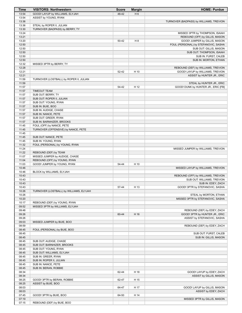| Time           | <b>VISITORS: Northwestern</b>                          | <b>Score</b> | <b>Margin</b>  | <b>HOME: Purdue</b>                     |
|----------------|--------------------------------------------------------|--------------|----------------|-----------------------------------------|
| 13:54          | GOOD! LAYUP by WILLIAMS, ELYJAH                        | 48-42        | H <sub>6</sub> |                                         |
| 13:54          | ASSIST by YOUNG, RYAN                                  |              |                |                                         |
| 13:36          |                                                        |              |                | TURNOVER (BADPASS) by WILLIAMS, TREVION |
| 13:36          | STEAL by ROPER II, JULIAN                              |              |                |                                         |
| 13:30          | TURNOVER (BADPASS) by BERRY, TY                        |              |                |                                         |
| 13:24          |                                                        |              |                | MISSED 3PTR by THOMPSON, ISAIAH         |
| 13:21          |                                                        |              |                | REBOUND (OFF) by GILLIS, MASON          |
| 13:20          |                                                        | 50-42        | H <sub>8</sub> | GOOD! JUMPER by GILLIS, MASON           |
| 12:50          |                                                        |              |                | FOUL (PERSONAL) by STEFANOVIC, SASHA    |
| 12:50          |                                                        |              |                | SUB OUT: GILLIS, MASON                  |
| 12:50          |                                                        |              |                | SUB OUT: THOMPSON, ISAIAH               |
| 12:50          |                                                        |              |                | SUB IN: FURST, CALEB                    |
| 12:50          |                                                        |              |                |                                         |
|                |                                                        |              |                | SUB IN: MORTON, ETHAN                   |
| 12:32          | MISSED 3PTR by BERRY, TY                               |              |                |                                         |
| 12:28          |                                                        |              |                | REBOUND (DEF) by WILLIAMS, TREVION      |
| 12:21          |                                                        | 52-42        | H 10           | GOOD! LAYUP by WILLIAMS, TREVION        |
| 12:21          |                                                        |              |                | ASSIST by HUNTER JR., ERIC              |
| 11:59          | TURNOVER (LOSTBALL) by ROPER II, JULIAN                |              |                |                                         |
| 11:59          |                                                        |              |                | STEAL by HUNTER JR., ERIC               |
| 11:57          |                                                        | 54-42        | H 12           | GOOD! DUNK by HUNTER JR., ERIC [FB]     |
| 11:57          | <b>TIMEOUT TEAM</b>                                    |              |                |                                         |
| 11:57          | SUB OUT: BERRY, TY                                     |              |                |                                         |
| 11:57          | SUB OUT: ROPER II, JULIAN                              |              |                |                                         |
| 11:57<br>11:57 | SUB OUT: YOUNG, RYAN                                   |              |                |                                         |
|                | SUB IN: BUIE, BOO                                      |              |                |                                         |
| 11:57<br>11:57 | SUB IN: AUDIGE, CHASE                                  |              |                |                                         |
|                | SUB IN: NANCE, PETE                                    |              |                |                                         |
| 11:57<br>11:57 | SUB OUT: GREER, RYAN                                   |              |                |                                         |
| 11:45          | SUB IN: BARNHIZER, BROOKS<br>FOUL (OFF) by NANCE, PETE |              |                |                                         |
| 11:45          | TURNOVER (OFFENSIVE) by NANCE, PETE                    |              |                |                                         |
| 11:45          |                                                        |              |                |                                         |
| 11:45          | SUB OUT: NANCE, PETE                                   |              |                |                                         |
| 11:45          | SUB IN: YOUNG, RYAN                                    |              |                |                                         |
| 11:32          | FOUL (PERSONAL) by YOUNG, RYAN                         |              |                |                                         |
| 11:24          |                                                        |              |                | MISSED JUMPER by WILLIAMS, TREVION      |
| 11:22          | REBOUND (DEF) by TEAM                                  |              |                |                                         |
| 11:07          | MISSED JUMPER by AUDIGE, CHASE                         |              |                |                                         |
| 11:04          | REBOUND (OFF) by YOUNG, RYAN                           |              |                |                                         |
| 11:03          | GOOD! JUMPER by YOUNG, RYAN                            | 54-44        | H 10           |                                         |
| 10:46          |                                                        |              |                | MISSED LAYUP by WILLIAMS, TREVION       |
| 10:46          | BLOCK by WILLIAMS, ELYJAH                              |              |                |                                         |
| 10:43          |                                                        |              |                | REBOUND (OFF) by WILLIAMS, TREVION      |
| 10:43          |                                                        |              |                | SUB OUT: WILLIAMS, TREVION              |
| 10:43          |                                                        |              |                | SUB IN: EDEY, ZACH                      |
| 10:43          |                                                        | 57-44        | H 13           | GOOD! 3PTR by STEFANOVIC, SASHA         |
| 10:26          | TURNOVER (LOSTBALL) by WILLIAMS, ELYJAH                |              |                |                                         |
| 10:26          |                                                        |              |                | STEAL by MORTON, ETHAN                  |
| 10:20          |                                                        |              |                | MISSED 3PTR by STEFANOVIC, SASHA        |
| 10:17          | REBOUND (DEF) by YOUNG, RYAN                           |              |                |                                         |
| 09:52          | MISSED 3PTR by WILLIAMS, ELYJAH                        |              |                |                                         |
| 09:48          |                                                        |              |                | REBOUND (DEF) by EDEY, ZACH             |
| 09:26          |                                                        | 60-44        | H 16           | GOOD! 3PTR by HUNTER JR., ERIC          |
| 09:26          |                                                        |              |                | ASSIST by STEFANOVIC, SASHA             |
| 09:03          | MISSED JUMPER by BUIE, BOO                             |              |                |                                         |
| 08:59          |                                                        |              |                | REBOUND (DEF) by EDEY, ZACH             |
| 08:45          | FOUL (PERSONAL) by BUIE, BOO                           |              |                |                                         |
| 08:45          |                                                        |              |                | SUB OUT: FURST, CALEB                   |
| 08:45          |                                                        |              |                | SUB IN: GILLIS, MASON                   |
| 08:45          | SUB OUT: AUDIGE, CHASE                                 |              |                |                                         |
| 08:45          | SUB OUT: BARNHIZER, BROOKS                             |              |                |                                         |
| 08:45          | SUB OUT: YOUNG, RYAN                                   |              |                |                                         |
| 08:45          | SUB OUT: WILLIAMS, ELYJAH                              |              |                |                                         |
| 08:45          | SUB IN: GREER, RYAN                                    |              |                |                                         |
| 08:45          | SUB IN: ROPER II, JULIAN                               |              |                |                                         |
| 08:45          | SUB IN: NANCE, PETE                                    |              |                |                                         |
| 08:45          | SUB IN: BERAN, ROBBIE                                  |              |                |                                         |
| 08:34          |                                                        | 62-44        | H 18           | GOOD! LAYUP by EDEY, ZACH               |
| 08:34          |                                                        |              |                | ASSIST by GILLIS, MASON                 |
| 08:25          | GOOD! 3PTR by BERAN, ROBBIE                            | 62-47        | H 15           |                                         |
| 08:25          | ASSIST by BUIE, BOO                                    |              |                |                                         |
| 08:03          |                                                        | 64-47        | H 17           | GOOD! LAYUP by GILLIS, MASON            |
| 08:03<br>07:45 |                                                        |              |                | ASSIST by EDEY, ZACH                    |
| 07:19          | GOOD! 3PTR by BUIE, BOO                                | 64-50        | H 14           | MISSED 3PTR by GILLIS, MASON            |
| 07:15          | REBOUND (DEF) by BUIE, BOO                             |              |                |                                         |
|                |                                                        |              |                |                                         |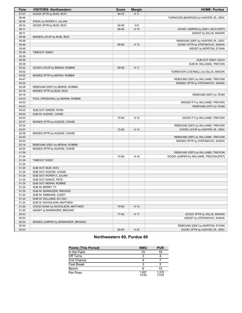| Time           | <b>VISITORS: Northwestern</b>                              | <b>Score</b> | <b>Margin</b>  | <b>HOME: Purdue</b>                     |
|----------------|------------------------------------------------------------|--------------|----------------|-----------------------------------------|
| 07:07          | GOOD! 3PTR by BUIE, BOO                                    | 64-53        | H 11           |                                         |
| 06:46          |                                                            |              |                | TURNOVER (BADPASS) by HUNTER JR., ERIC  |
| 06:46          | STEAL by ROPER II, JULIAN                                  |              |                |                                         |
| 06:34          | GOOD! 3PTR by BUIE, BOO                                    | 64-56        | H <sub>8</sub> |                                         |
| 06:11          |                                                            | 66-56        | H 10           | GOOD! JUMPER by EDEY, ZACH [PNT]        |
| 06:11          |                                                            |              |                | ASSIST by GILLIS, MASON                 |
| 05:58          | MISSED LAYUP by BUIE, BOO                                  |              |                |                                         |
| 05:56          |                                                            |              |                | REBOUND (DEF) by HUNTER JR., ERIC       |
| 05:49          |                                                            | 69-56        | H 13           | GOOD! 3PTR by STEFANOVIC, SASHA         |
| 05:49          |                                                            |              |                | ASSIST by MORTON, ETHAN                 |
| 05:39          | TIMEOUT 30SEC                                              |              |                |                                         |
| 05:39          |                                                            |              |                |                                         |
| 05:39          |                                                            |              |                | SUB OUT: EDEY, ZACH                     |
| 05:39          |                                                            |              |                | SUB IN: WILLIAMS, TREVION               |
| 05:22          | GOOD! LAYUP by BERAN, ROBBIE                               | 69-58        | H 11           |                                         |
| 05:02          |                                                            |              |                | TURNOVER (LOSTBALL) by GILLIS, MASON    |
| 04:52          | MISSED 3PTR by BERAN, ROBBIE                               |              |                |                                         |
| 04:47          |                                                            |              |                | REBOUND (DEF) by WILLIAMS, TREVION      |
| 04:30          |                                                            |              |                | MISSED 3PTR by STEFANOVIC, SASHA        |
| 04:26<br>04:18 | REBOUND (DEF) by BERAN, ROBBIE<br>MISSED 3PTR by BUIE, BOO |              |                |                                         |
| 04:16          |                                                            |              |                | REBOUND (DEF) by TEAM                   |
| 04:03          | FOUL (PERSONAL) by BERAN, ROBBIE                           |              |                |                                         |
| 04:03          |                                                            |              |                | MISSED FT by WILLIAMS, TREVION          |
| 04:03          |                                                            |              |                | REBOUND (OFF) by TEAM                   |
| 04:03          | SUB OUT: GREER, RYAN                                       |              |                |                                         |
| 04:03          | SUB IN: AUDIGE, CHASE                                      |              |                |                                         |
| 04:03          |                                                            | 70-58        | H 12           | GOOD! FT by WILLIAMS, TREVION           |
| 03:37          | MISSED 3PTR by AUDIGE, CHASE                               |              |                |                                         |
| 03:34          |                                                            |              |                | REBOUND (DEF) by WILLIAMS, TREVION      |
| 03:07          |                                                            | 72-58        | H 14           | GOOD! LAYUP by HUNTER JR., ERIC         |
| 02:48          | MISSED 3PTR by AUDIGE, CHASE                               |              |                |                                         |
| 02:45          |                                                            |              |                | REBOUND (DEF) by WILLIAMS, TREVION      |
| 02:23          |                                                            |              |                | MISSED 3PTR by STEFANOVIC, SASHA        |
| 02:16          | REBOUND (DEF) by BERAN, ROBBIE                             |              |                |                                         |
| 02:03          | MISSED 3PTR by AUDIGE, CHASE                               |              |                |                                         |
| 01:59          |                                                            |              |                | REBOUND (DEF) by WILLIAMS, TREVION      |
| 01:34          |                                                            | 74-58        | H 16           | GOOD! JUMPER by WILLIAMS, TREVION [PNT] |
| 01:24          | TIMEOUT 30SEC                                              |              |                |                                         |
| 01:24          |                                                            |              |                |                                         |
| 01:24          | SUB OUT: BUIE, BOO                                         |              |                |                                         |
| 01:24          | SUB OUT: AUDIGE, CHASE                                     |              |                |                                         |
| 01:24          | SUB OUT: ROPER II, JULIAN                                  |              |                |                                         |
| 01:24          | SUB OUT: NANCE, PETE                                       |              |                |                                         |
| 01:24          | SUB OUT: BERAN, ROBBIE                                     |              |                |                                         |
| 01:24          | SUB IN: BERRY, TY                                          |              |                |                                         |
| 01:24          | SUB IN: BARNHIZER, BROOKS                                  |              |                |                                         |
| 01:24          | SUB IN: SIMMONS, CASEY                                     |              |                |                                         |
| 01:24          | SUB IN: WILLIAMS, ELYJAH                                   |              |                |                                         |
| 01:24          | SUB IN: NICHOLSON, MATTHEW                                 |              |                |                                         |
| 01:20          | GOOD! DUNK by NICHOLSON, MATTHEW                           | 74-60        | H 14           |                                         |
| 01:20          | ASSIST by BARNHIZER, BROOKS                                |              |                |                                         |
| 00:53          |                                                            | 77-60        | H 17           | GOOD! 3PTR by GILLIS, MASON             |
| 00:53          |                                                            |              |                | ASSIST by STEFANOVIC, SASHA             |
| 00:34          | MISSED JUMPER by BARNHIZER, BROOKS                         |              |                |                                         |
| 00:30          |                                                            |              |                | REBOUND (DEF) by MORTON, ETHAN          |
| 00:03          |                                                            | 80-60        | H 20           | GOOD! 3PTR by HUNTER JR., ERIC          |

# **Northwestern 60, Purdue 80**

| <b>Points (This Period)</b> | <b>NWU</b>     | <b>PUR</b>     |
|-----------------------------|----------------|----------------|
| In the Paint                | 10             | 16             |
| Off Turns                   | З              |                |
| 2nd Chance                  |                |                |
| <b>Fast Break</b>           | ঽ              |                |
| Bench                       |                | 15             |
| Per Poss                    | 1.067<br>13/30 | 1.379<br>17/29 |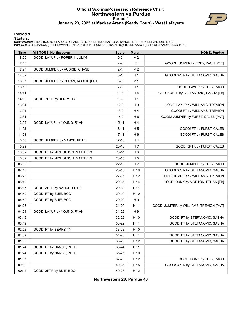#### **Official Scoring/Possession Reference Chart Northwestern vs Purdue Period 1 January 23, 2022 at Mackey Arena (Keady Court) - West Lafayette**



#### **Period 1**

#### **Starters:**

**Northwestern**: 0 BUIE,BOO (G); 1 AUDIGE,CHASE (G); 5 ROPER II,JULIAN (G); 22 NANCE,PETE (F); 31 BERAN,ROBBIE (F);<br>**Purdue**: 0 GILLIS,MASON (F); 5 NEWMAN,BRANDON (G); 11 THOMPSON,ISAIAH (G); 15 EDEY,ZACH (C); 55 STEFANOVIC

| <b>Time</b> | <b>VISITORS: Northwestern</b>       | <b>Score</b> | <b>Margin</b>  | <b>HOME: Purdue</b>                     |
|-------------|-------------------------------------|--------------|----------------|-----------------------------------------|
| 18:25       | GOOD! LAYUP by ROPER II, JULIAN     | $0 - 2$      | V <sub>2</sub> |                                         |
| 17:48       |                                     | $2 - 2$      | T              | GOOD! JUMPER by EDEY, ZACH [PNT]        |
| 17:27       | GOOD! JUMPER by AUDIGE, CHASE       | $2 - 4$      | V <sub>2</sub> |                                         |
| 17:02       |                                     | $5-4$        | H <sub>1</sub> | GOOD! 3PTR by STEFANOVIC, SASHA         |
| 16:37       | GOOD! JUMPER by BERAN, ROBBIE [PNT] | $5-6$        | V <sub>1</sub> |                                         |
| 16:16       |                                     | $7-6$        | H <sub>1</sub> | GOOD! LAYUP by EDEY, ZACH               |
| 14:41       |                                     | $10-6$       | H <sub>4</sub> | GOOD! 3PTR by STEFANOVIC, SASHA [FB]    |
| 14:10       | GOOD! 3PTR by BERRY, TY             | $10-9$       | H <sub>1</sub> |                                         |
| 13:04       |                                     | $12-9$       | $H_3$          | GOOD! LAYUP by WILLIAMS, TREVION        |
| 13:04       |                                     | $13-9$       | H4             | GOOD! FT by WILLIAMS, TREVION           |
| 12:31       |                                     | $15-9$       | H <sub>6</sub> | GOOD! JUMPER by FURST, CALEB [PNT]      |
| 12:09       | GOOD! LAYUP by YOUNG, RYAN          | $15 - 11$    | H <sub>4</sub> |                                         |
| 11:08       |                                     | $16 - 11$    | H <sub>5</sub> | GOOD! FT by FURST, CALEB                |
| 11:08       |                                     | $17 - 11$    | H <sub>6</sub> | GOOD! FT by FURST, CALEB                |
| 10:46       | GOOD! JUMPER by NANCE, PETE         | $17-13$      | H <sub>4</sub> |                                         |
| 10:29       |                                     | $20-13$      | H 7            | GOOD! 3PTR by FURST, CALEB              |
| 10:02       | GOOD! FT by NICHOLSON, MATTHEW      | $20 - 14$    | H <sub>6</sub> |                                         |
| 10:02       | GOOD! FT by NICHOLSON, MATTHEW      | $20 - 15$    | H <sub>5</sub> |                                         |
| 08:32       |                                     | $22 - 15$    | H 7            | GOOD! JUMPER by EDEY, ZACH              |
| 07:12       |                                     | $25 - 15$    | H 10           | GOOD! 3PTR by STEFANOVIC, SASHA         |
| 06:23       |                                     | $27-15$      | H 12           | GOOD! JUMPER by WILLIAMS, TREVION       |
| 05:49       |                                     | $29-15$      | H 14           | GOOD! DUNK by MORTON, ETHAN [FB]        |
| 05:17       | GOOD! 3PTR by NANCE, PETE           | 29-18        | H 11           |                                         |
| 04:50       | GOOD! FT by BUIE, BOO               | 29-19        | H 10           |                                         |
| 04:50       | GOOD! FT by BUIE, BOO               | 29-20        | H 9            |                                         |
| 04:25       |                                     | 31-20        | H 11           | GOOD! JUMPER by WILLIAMS, TREVION [PNT] |
| 04:04       | GOOD! LAYUP by YOUNG, RYAN          | 31-22        | H9             |                                         |
| 03:49       |                                     | 32-22        | H 10           | GOOD! FT by STEFANOVIC, SASHA           |
| 03:49       |                                     | 33-22        | H 11           | GOOD! FT by STEFANOVIC, SASHA           |
| 02:52       | GOOD! FT by BERRY, TY               | 33-23        | H 10           |                                         |
| 01:39       |                                     | 34-23        | H 11           | GOOD! FT by STEFANOVIC, SASHA           |
| 01:39       |                                     | $35 - 23$    | H 12           | GOOD! FT by STEFANOVIC, SASHA           |
| 01:24       | GOOD! FT by NANCE, PETE             | 35-24        | H 11           |                                         |
| 01:24       | GOOD! FT by NANCE, PETE             | $35 - 25$    | H 10           |                                         |
| 01:07       |                                     | 37-25        | H 12           | GOOD! DUNK by EDEY, ZACH                |
| 00:39       |                                     | 40-25        | H 15           | GOOD! 3PTR by STEFANOVIC, SASHA         |
| 00:11       | GOOD! 3PTR by BUIE, BOO             | 40-28        | H 12           |                                         |

**Northwestern 28, Purdue 40**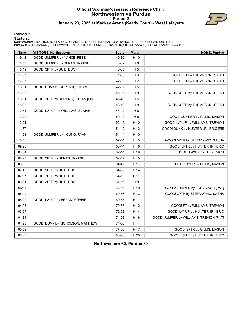#### **Official Scoring/Possession Reference Chart Northwestern vs Purdue Period 2 January 23, 2022 at Mackey Arena (Keady Court) - West Lafayette**



#### **Period 2**

#### **Starters:**

**Northwestern**: 0 BUIE,BOO (G); 1 AUDIGE,CHASE (G); 5 ROPER II,JULIAN (G); 22 NANCE,PETE (F); 31 BERAN,ROBBIE (F);<br>**Purdue**: 0 GILLIS,MASON (F); 5 NEWMAN,BRANDON (G); 11 THOMPSON,ISAIAH (G); 15 EDEY,ZACH (C); 55 STEFANOVIC

| <b>Time</b> | <b>VISITORS: Northwestern</b>       | <b>Score</b> | <b>Margin</b>  | <b>HOME: Purdue</b>                     |
|-------------|-------------------------------------|--------------|----------------|-----------------------------------------|
| 19:42       | GOOD! JUMPER by NANCE, PETE         | 40-30        | H 10           |                                         |
| 18:53       | GOOD! JUMPER by BERAN, ROBBIE       | 40-32        | H8             |                                         |
| 18:19       | GOOD! 3PTR by BUIE, BOO             | 40-35        | H <sub>5</sub> |                                         |
| 17:37       |                                     | 41-35        | H 6            | GOOD! FT by THOMPSON, ISAIAH            |
| 17:37       |                                     | 42-35        | H 7            | GOOD! FT by THOMPSON, ISAIAH            |
| 16:51       | GOOD! DUNK by ROPER II, JULIAN      | 42-37        | H <sub>5</sub> |                                         |
| 16:35       |                                     | 45-37        | H <sub>8</sub> | GOOD! 3PTR by THOMPSON, ISAIAH          |
| 16:01       | GOOD! 3PTR by ROPER II, JULIAN [FB] | 45-40        | H <sub>5</sub> |                                         |
| 15:36       |                                     | 48-40        | H <sub>8</sub> | GOOD! 3PTR by THOMPSON, ISAIAH          |
| 13:54       | GOOD! LAYUP by WILLIAMS, ELYJAH     | 48-42        | H <sub>6</sub> |                                         |
| 13:20       |                                     | 50-42        | H <sub>8</sub> | GOOD! JUMPER by GILLIS, MASON           |
| 12:21       |                                     | 52-42        | H 10           | GOOD! LAYUP by WILLIAMS, TREVION        |
| 11:57       |                                     | 54-42        | H 12           | GOOD! DUNK by HUNTER JR., ERIC [FB]     |
| 11:03       | GOOD! JUMPER by YOUNG, RYAN         | 54-44        | H 10           |                                         |
| 10:43       |                                     | 57-44        | H 13           | GOOD! 3PTR by STEFANOVIC, SASHA         |
| 09:26       |                                     | 60-44        | H 16           | GOOD! 3PTR by HUNTER JR., ERIC          |
| 08:34       |                                     | 62-44        | H 18           | GOOD! LAYUP by EDEY, ZACH               |
| 08:25       | GOOD! 3PTR by BERAN, ROBBIE         | 62-47        | H 15           |                                         |
| 08:03       |                                     | 64-47        | H 17           | GOOD! LAYUP by GILLIS, MASON            |
| 07:45       | GOOD! 3PTR by BUIE, BOO             | 64-50        | H 14           |                                         |
| 07:07       | GOOD! 3PTR by BUIE, BOO             | 64-53        | H 11           |                                         |
| 06:34       | GOOD! 3PTR by BUIE, BOO             | 64-56        | H 8            |                                         |
| 06:11       |                                     | 66-56        | H 10           | GOOD! JUMPER by EDEY, ZACH [PNT]        |
| 05:49       |                                     | 69-56        | H 13           | GOOD! 3PTR by STEFANOVIC, SASHA         |
| 05:22       | GOOD! LAYUP by BERAN, ROBBIE        | 69-58        | H 11           |                                         |
| 04:03       |                                     | 70-58        | H 12           | GOOD! FT by WILLIAMS, TREVION           |
| 03:07       |                                     | 72-58        | H 14           | GOOD! LAYUP by HUNTER JR., ERIC         |
| 01:34       |                                     | 74-58        | H 16           | GOOD! JUMPER by WILLIAMS, TREVION [PNT] |
| 01:20       | GOOD! DUNK by NICHOLSON, MATTHEW    | 74-60        | H 14           |                                         |
| 00:53       |                                     | 77-60        | H 17           | GOOD! 3PTR by GILLIS, MASON             |
| 00:03       |                                     | 80-60        | H 20           | GOOD! 3PTR by HUNTER JR., ERIC          |

**Northwestern 60, Purdue 80**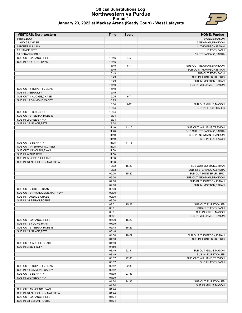#### **Official Substitutions Log Northwestern vs Purdue Period 1 January 23, 2022 at Mackey Arena (Keady Court) - West Lafayette**



| <b>VISITORS: Northwestern</b>  | <b>Time</b>    | <b>Score</b> | <b>HOME: Purdue</b>                                   |
|--------------------------------|----------------|--------------|-------------------------------------------------------|
| 0 BUIE, BOO                    |                |              | 0 GILLIS, MASON                                       |
| 1 AUDIGE, CHASE                |                |              | 5 NEWMAN, BRANDON                                     |
| 5 ROPER II, JULIAN             |                |              | 11 THOMPSON, ISAIAH                                   |
| 22 NANCE, PETE                 |                |              | 15 EDEY, ZACH                                         |
| 31 BERAN.ROBBIE                |                |              | 55 STEFANOVIC, SASHA                                  |
| SUB OUT: 22 NANCE, PETE        | 16:46          | $4 - 5$      |                                                       |
| SUB IN: 15 YOUNG, RYAN         | 16:46          |              |                                                       |
|                                | 15:49<br>15:49 | $6 - 7$      | SUB OUT: NEWMAN, BRANDON<br>SUB OUT: THOMPSON, ISAIAH |
|                                | 15:49          |              | SUB OUT: EDEY, ZACH                                   |
|                                | 15:49          |              | SUB IN: HUNTER JR., ERIC                              |
|                                | 15:49          |              | SUB IN: MORTON, ETHAN                                 |
|                                | 15:49          |              | SUB IN: WILLIAMS, TREVION                             |
| SUB OUT: 5 ROPER II, JULIAN    | 15:49          |              |                                                       |
| SUB IN: 3 BERRY, TY            | 15:49          |              |                                                       |
| SUB OUT: 1 AUDIGE, CHASE       | 15:25          | $6 - 7$      |                                                       |
| SUB IN: 14 SIMMONS, CASEY      | 15:25          |              |                                                       |
|                                | 13:04          | $9 - 12$     | SUB OUT: GILLIS, MASON                                |
|                                | 13:04          |              | SUB IN: FURST, CALEB                                  |
| SUB OUT: 0 BUIE, BOO           | 13:04          |              |                                                       |
| SUB OUT: 31 BERAN.ROBBIE       | 13:04          |              |                                                       |
| SUB IN: 2 GREER.RYAN           | 13:04          |              |                                                       |
| SUB IN: 22 NANCE, PETE         | 13:04          |              |                                                       |
|                                | 11:40          | $11 - 15$    | SUB OUT: WILLIAMS, TREVION                            |
|                                | 11:40          |              | SUB OUT: STEFANOVIC.SASHA                             |
|                                | 11:40          |              | SUB IN: NEWMAN, BRANDON                               |
|                                | 11:40          |              | SUB IN: EDEY, ZACH                                    |
| SUB OUT: 3 BERRY, TY           | 11:08          | $11 - 16$    |                                                       |
| SUB OUT: 14 SIMMONS, CASEY     | 11:08          |              |                                                       |
| SUB OUT: 15 YOUNG, RYAN        | 11:08          |              |                                                       |
| SUB IN: 0 BUIE, BOO            | 11:08          |              |                                                       |
| SUB IN: 5 ROPER II, JULIAN     | 11:08          |              |                                                       |
| SUB IN: 34 NICHOLSON, MATTHEW  | 11:08          |              |                                                       |
|                                | 10:02<br>10:02 | 15-20        | SUB OUT: MORTON, ETHAN<br>SUB IN: STEFANOVIC, SASHA   |
|                                | 09:00          | 15-20        | SUB OUT: HUNTER JR., ERIC                             |
|                                | 09:00          |              | SUB OUT: NEWMAN, BRANDON                              |
|                                | 09:00          |              | SUB IN: THOMPSON, ISAIAH                              |
|                                | 09:00          |              | SUB IN: MORTON, ETHAN                                 |
| SUB OUT: 2 GREER, RYAN         | 09:00          |              |                                                       |
| SUB OUT: 34 NICHOLSON, MATTHEW | 09:00          |              |                                                       |
| SUB IN: 1 AUDIGE, CHASE        | 09:00          |              |                                                       |
| SUB IN: 31 BERAN, ROBBIE       | 09:00          |              |                                                       |
|                                | 08:01          | 15-22        | SUB OUT: FURST, CALEB                                 |
|                                | 08:01          |              | SUB OUT: EDEY, ZACH                                   |
|                                | 08:01          |              | SUB IN: GILLIS, MASON                                 |
|                                | 08:01          |              | SUB IN: WILLIAMS, TREVION                             |
| SUB OUT: 22 NANCE, PETE        | 07:39          | 15-22        |                                                       |
| SUB IN: 15 YOUNG, RYAN         | 07:39          |              |                                                       |
| SUB OUT: 31 BERAN, ROBBIE      | 05:48          | 15-29        |                                                       |
| SUB IN: 22 NANCE, PETE         | 05:48          |              |                                                       |
|                                | 04:50          | 18-29        | SUB OUT: THOMPSON, ISAIAH                             |
|                                | 04:50          |              | SUB IN: HUNTER JR., ERIC                              |
| SUB OUT: 1 AUDIGE, CHASE       | 04:50          |              |                                                       |
| SUB IN: 3 BERRY, TY            | 04:50          |              | SUB OUT: GILLIS, MASON                                |
|                                | 03:49<br>03:49 | 22-31        | SUB IN: FURST, CALEB                                  |
|                                | 03:37          | 22-33        | SUB OUT: WILLIAMS, TREVION                            |
|                                | 03:37          |              | SUB IN: EDEY, ZACH                                    |
| SUB OUT: 5 ROPER II, JULIAN    | 02:52          | 22-33        |                                                       |
| SUB IN: 14 SIMMONS, CASEY      | 02:52          |              |                                                       |
| SUB OUT: 3 BERRY, TY           | 01:39          | 23-33        |                                                       |
| SUB IN: 2 GREER, RYAN          | 01:39          |              |                                                       |
|                                | 01:24          | 24-35        | SUB OUT: FURST, CALEB                                 |
|                                | 01:24          |              | SUB IN: GILLIS, MASON                                 |
| SUB OUT: 15 YOUNG, RYAN        | 01:24          |              |                                                       |
| SUB IN: 34 NICHOLSON, MATTHEW  | 01:24          |              |                                                       |
| SUB OUT: 22 NANCE, PETE        | 01:24          |              |                                                       |
| SUB IN: 31 BERAN, ROBBIE       | 01:24          |              |                                                       |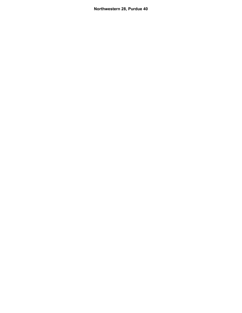**Northwestern 28, Purdue 40**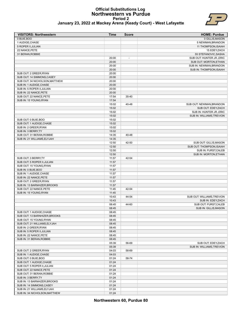#### **Official Substitutions Log Northwestern vs Purdue Period 2 January 23, 2022 at Mackey Arena (Keady Court) - West Lafayette**



| <b>VISITORS: Northwestern</b> | Time  | <b>Score</b> | <b>HOME: Purdue</b>       |
|-------------------------------|-------|--------------|---------------------------|
| 0 BUIE, BOO                   |       |              | 0 GILLIS, MASON           |
| 1 AUDIGE, CHASE               |       |              | 5 NEWMAN, BRANDON         |
| 5 ROPER II, JULIAN            |       |              | 11 THOMPSON, ISAIAH       |
| 22 NANCE, PETE                |       |              | 15 EDEY, ZACH             |
| 31 BERAN, ROBBIE              |       |              | 55 STEFANOVIC, SASHA      |
|                               | 20:00 | -            | SUB OUT: HUNTER JR., ERIC |
|                               | 20:00 |              | SUB OUT: MORTON.ETHAN     |

|                                | 20:00 | $\overline{\phantom{a}}$ | SUB OUT: HUNTER JR., ERIC  |
|--------------------------------|-------|--------------------------|----------------------------|
|                                | 20:00 |                          | SUB OUT: MORTON, ETHAN     |
|                                | 20:00 |                          | SUB IN: NEWMAN, BRANDON    |
|                                | 20:00 |                          | SUB IN: THOMPSON, ISAIAH   |
| SUB OUT: 2 GREER, RYAN         | 20:00 |                          |                            |
| SUB OUT: 14 SIMMONS.CASEY      | 20:00 |                          |                            |
| SUB OUT: 34 NICHOLSON, MATTHEW | 20:00 |                          |                            |
| SUB IN: 1 AUDIGE, CHASE        | 20:00 |                          |                            |
| SUB IN: 5 ROPER II, JULIAN     | 20:00 |                          |                            |
| SUB IN: 22 NANCE, PETE         | 20:00 |                          |                            |
| SUB OUT: 22 NANCE, PETE        | 17:54 | 35-40                    |                            |
| SUB IN: 15 YOUNG, RYAN         | 17:54 |                          |                            |
|                                | 15:02 | 40-48                    | SUB OUT: NEWMAN, BRANDON   |
|                                | 15:02 |                          | SUB OUT: EDEY, ZACH        |
|                                | 15:02 |                          | SUB IN: HUNTER JR., ERIC   |
|                                | 15:02 |                          | SUB IN: WILLIAMS, TREVION  |
| SUB OUT: 0 BUIE, BOO           | 15:02 |                          |                            |
| SUB OUT: 1 AUDIGE, CHASE       | 15:02 |                          |                            |
| SUB IN: 2 GREER, RYAN          | 15:02 |                          |                            |
| SUB IN: 3 BERRY, TY            | 15:02 |                          |                            |
| SUB OUT: 31 BERAN, ROBBIE      | 14:35 | 40-48                    |                            |
| SUB IN: 21 WILLIAMS, ELYJAH    | 14:35 |                          |                            |
|                                | 12:50 | 42-50                    | SUB OUT: GILLIS, MASON     |
|                                | 12:50 |                          | SUB OUT: THOMPSON, ISAIAH  |
|                                | 12:50 |                          | SUB IN: FURST, CALEB       |
|                                | 12:50 |                          | SUB IN: MORTON, ETHAN      |
| SUB OUT: 3 BERRY, TY           | 11:57 | 42-54                    |                            |
| SUB OUT: 5 ROPER II, JULIAN    | 11:57 |                          |                            |
| SUB OUT: 15 YOUNG, RYAN        | 11:57 |                          |                            |
| SUB IN: 0 BUIE, BOO            | 11:57 |                          |                            |
| SUB IN: 1 AUDIGE, CHASE        | 11:57 |                          |                            |
| SUB IN: 22 NANCE, PETE         | 11:57 |                          |                            |
| SUB OUT: 2 GREER, RYAN         | 11:57 |                          |                            |
| SUB IN: 13 BARNHIZER, BROOKS   | 11:57 |                          |                            |
| SUB OUT: 22 NANCE, PETE        | 11:45 | 42-54                    |                            |
| SUB IN: 15 YOUNG, RYAN         | 11:45 |                          |                            |
|                                | 10:43 | 44-54                    | SUB OUT: WILLIAMS, TREVION |
|                                | 10:43 |                          | SUB IN: EDEY, ZACH         |
|                                | 08:45 | 44-60                    | SUB OUT: FURST, CALEB      |
|                                | 08:45 |                          | SUB IN: GILLIS, MASON      |
| SUB OUT: 1 AUDIGE.CHASE        | 08:45 |                          |                            |
| SUB OUT: 13 BARNHIZER, BROOKS  | 08:45 |                          |                            |
| SUB OUT: 15 YOUNG, RYAN        | 08:45 |                          |                            |
| SUB OUT: 21 WILLIAMS, ELYJAH   | 08:45 |                          |                            |
| SUB IN: 2 GREER, RYAN          | 08:45 |                          |                            |
| SUB IN: 5 ROPER II, JULIAN     | 08:45 |                          |                            |
| SUB IN: 22 NANCE, PETE         | 08:45 |                          |                            |
| SUB IN: 31 BERAN, ROBBIE       | 08:45 |                          |                            |
|                                | 05:39 | 56-69                    | SUB OUT: EDEY, ZACH        |
|                                | 05:39 |                          | SUB IN: WILLIAMS, TREVION  |
| SUB OUT: 2 GREER, RYAN         | 04:03 | 58-69                    |                            |
| SUB IN: 1 AUDIGE, CHASE        | 04:03 |                          |                            |
| SUB OUT: 0 BUIE, BOO           | 01:24 | 58-74                    |                            |
| SUB OUT: 1 AUDIGE, CHASE       | 01:24 |                          |                            |
| SUB OUT: 5 ROPER II, JULIAN    | 01:24 |                          |                            |
| SUB OUT: 22 NANCE, PETE        | 01:24 |                          |                            |
| SUB OUT: 31 BERAN, ROBBIE      | 01:24 |                          |                            |
| SUB IN: 3 BERRY, TY            | 01:24 |                          |                            |
| SUB IN: 13 BARNHIZER, BROOKS   | 01:24 |                          |                            |
| SUB IN: 14 SIMMONS, CASEY      | 01:24 |                          |                            |
| SUB IN: 21 WILLIAMS, ELYJAH    | 01:24 |                          |                            |
| SUB IN: 34 NICHOLSON, MATTHEW  | 01:24 |                          |                            |